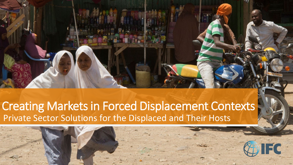

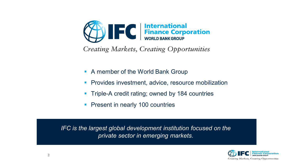

Creating Markets, Creating Opportunities

- **A member of the World Bank Group**
- **Provides investment, advice, resource mobilization**
- Triple-A credit rating; owned by 184 countries
- **Present in nearly 100 countries**

*IFC is the largest global development institution focused on the private sector in emerging markets.*

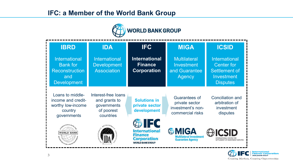## **IFC: a Member of the World Bank Group**



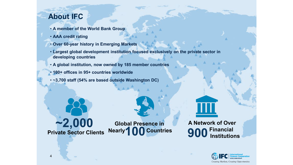# **About IFC**

- **A member of the World Bank Group**
- **AAA credit rating**
- **Over 60-year history in Emerging Markets**
- **Largest global development institution focused exclusively on the private sector in developing countries**
- **A global institution, now owned by 185 member countries**
- **100+ offices in 95+ countries worldwide**
- **~3,700 staff (54% are based outside Washington DC)**



4

**Global Presence in** 



**Financial Institutions**

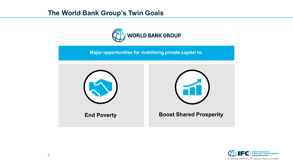# **The World Bank Group's Twin Goals**



**Major opportunities for mobilizing private capital to:**



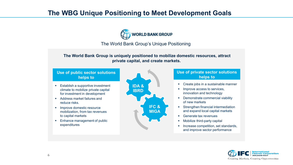## **The WBG Unique Positioning to Meet Development Goals**



#### The World Bank Group's Unique Positioning

#### **The World Bank Group is uniquely positioned to mobilize domestic resources, attract private capital, and create markets.**

#### **Use of public sector solutions helps to**

- **Establish a supportive investment** climate to mobilize private capital for investment in development
- **Address market failures and** reduce risks.
- **Improve domestic resource** mobilization, from tax revenues to capital markets
- **Enhance management of public** expenditures



#### **Use of private sector solutions helps to**

- Create jobs in a sustainable manner
- Improve access to services, innovation and technology
- **•** Demonstrate commercial viability of new markets
- **Strengthen financial intermediation** and expand local capital markets
- Generate tax revenues
- Mobilize third-party capital
- Increase competition, set standards, and improve sector performance

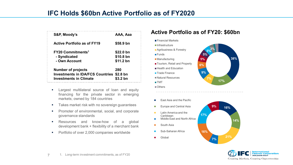# **IFC Holds \$60bn Active Portfolio as of FY2020**

 $=$   $-$ 

| S&P, Moody's                            | AAA, Aaa            |
|-----------------------------------------|---------------------|
| <b>Active Portfolio as of FY19</b>      | \$58.9 bn           |
| <b>FY20 Commitments<sup>1</sup></b>     | \$22.0 bn           |
| - Syndicated                            | \$10.8 bn           |
| - Own Account                           | \$11.2 bn           |
| <b>Number of projects</b>               | 280                 |
| <b>Investments in IDA/FCS Countries</b> | \$2.8 <sub>bn</sub> |
| <b>Investments in Climate</b>           | \$3.2 bn            |

- **EXEC** Largest multilateral source of loan and equity financing for the private sector in emerging markets; owned by 184 countries
- **Takes market risk with no sovereign quarantees**
- **Promoter of environmental, social, and corporate** governance standards
- **Resources and know-how of a global** development bank + flexibility of a merchant bank
- **Portfolio of over 2,000 companies worldwide**

### **Active Portfolio as of FY20: \$60bn**



- $\overline{\phantom{a}}$ East Asia and the Pacific
- Europe and Central Asia  $\Box$
- Latin America and the п **Caribbean**
- Middle East and North Africa П
- South Asia П
- Sub-Saharan Africa
- Globalп



**38%**

**16%**

**21% 7%**

**16%**

**17%**

**9%**

**14%**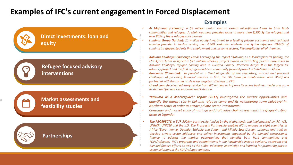# <span id="page-7-0"></span>**Examples of IFC's current engagement in Forced Displacement**

#### **Direct investments: loan and equity**

## **Refugee focused advisory interventions**

### **Market assessments and feasibility studies**

### **Partnerships**

**8**

#### **Examples**

- *Al Majmoua (Lebanon): a \$3 million senior loan to extend microfinance loans to both hostcommunities and refugees. Al Majmoua now provided loans to more than 8,500 Syrian refugees and over 80% of these refugees are women.*
- *Luminus Group (Jordan): 11 million equity investment to a leading private vocational and technical training provider in Jordan serving over 4,500 Jordanian students and Syrian refugees. 70-80% of Luminus's refugee students find employment and, in some sectors, like hospitality, all of them do.*
- *Kakuma Kalobeyei Challenge Fund: Leveraging the report "Kakuma as a Marketplace"'s finding, the FCS Africa team designed a \$27 million advisory project aimed at attracting private businesses to Kakuma Kalobeyei refugee hosting area in Turkana County, Northern Kenya. It is the largest IFC advisory project and the first refugee-and-host community focused project in Sub-SaharanAfrica.*
- *Bancamia (Colombia): In parallel to a Seed diagnostic of the regulatory, market and practical challenges of providing financial services to FDP, the FIG team (in collaboration with WeFi) has partnered with Bancamia, to develop targeted offeringsto FPD.*
- *Ureed.com: Received advisory service from IFC on how to improve its online business model and grow its demand for servicesin Jordan and Lebanon.*
- *"Kakuma as a Marketplace" report (2017) investigated the market opportunities and quantify the market size in Kakuma refugee camp and its neighboring town Kalobeyei in Northern Kenya in order to attract private sector investments.*
- *Consumer and market study of moringa and fruit value chain assessments in refugee-hosting areas in Uganda.*
- *The PROSPECTS: a EUR 500M+ partnership funded by the Netherlands and implemented by IFC, WB, UNHCR, UNICEF and the ILO. The Prospects Partnership enables IFC to engage in eight countries in Africa (Egypt, Kenya, Uganda, Ethiopia and Sudan) and Middle East (Jordan, Lebanon and Iraq) to develop private sector initiatives and deliver investments supported by the blended concessional finance to address the market opportunities that benefits both host communities and FDPs/refugees. IFC's programs and commitments in the Partnership include advisory, upstream and blended finance efforts as well as the global advocacy, knowledge and learning for promoting private sector solutionsin the FDP/refugee contexts.*